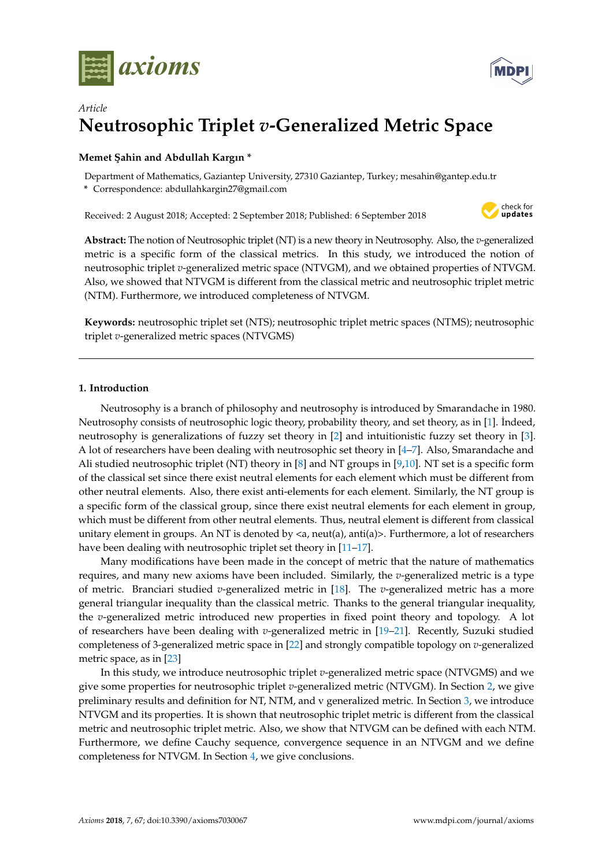



# *Article* **Neutrosophic Triplet** *v***-Generalized Metric Space**

## **Memet ¸Sahin and Abdullah Kargın \***

Department of Mathematics, Gaziantep University, 27310 Gaziantep, Turkey; mesahin@gantep.edu.tr

**\*** Correspondence: abdullahkargin27@gmail.com

Received: 2 August 2018; Accepted: 2 September 2018; Published: 6 September 2018



**Abstract:** The notion of Neutrosophic triplet (NT) is a new theory in Neutrosophy. Also, the *v*-generalized metric is a specific form of the classical metrics. In this study, we introduced the notion of neutrosophic triplet *v*-generalized metric space (NTVGM), and we obtained properties of NTVGM. Also, we showed that NTVGM is different from the classical metric and neutrosophic triplet metric (NTM). Furthermore, we introduced completeness of NTVGM.

**Keywords:** neutrosophic triplet set (NTS); neutrosophic triplet metric spaces (NTMS); neutrosophic triplet *v*-generalized metric spaces (NTVGMS)

## **1. Introduction**

Neutrosophy is a branch of philosophy and neutrosophy is introduced by Smarandache in 1980. Neutrosophy consists of neutrosophic logic theory, probability theory, and set theory, as in [\[1\]](#page-6-0). İndeed, neutrosophy is generalizations of fuzzy set theory in [\[2\]](#page-6-1) and intuitionistic fuzzy set theory in [\[3\]](#page-6-2). A lot of researchers have been dealing with neutrosophic set theory in [\[4](#page-6-3)[–7\]](#page-6-4). Also, Smarandache and Ali studied neutrosophic triplet (NT) theory in [\[8\]](#page-6-5) and NT groups in [\[9,](#page-6-6)[10\]](#page-6-7). NT set is a specific form of the classical set since there exist neutral elements for each element which must be different from other neutral elements. Also, there exist anti-elements for each element. Similarly, the NT group is a specific form of the classical group, since there exist neutral elements for each element in group, which must be different from other neutral elements. Thus, neutral element is different from classical unitary element in groups. An NT is denoted by  $\langle a, \text{neut}(a), \text{anti}(a)\rangle$ . Furthermore, a lot of researchers have been dealing with neutrosophic triplet set theory in [\[11–](#page-6-8)[17\]](#page-7-0).

Many modifications have been made in the concept of metric that the nature of mathematics requires, and many new axioms have been included. Similarly, the *v*-generalized metric is a type of metric. Branciari studied *v*-generalized metric in [\[18\]](#page-7-1). The *v*-generalized metric has a more general triangular inequality than the classical metric. Thanks to the general triangular inequality, the *v*-generalized metric introduced new properties in fixed point theory and topology. A lot of researchers have been dealing with *v*-generalized metric in [\[19–](#page-7-2)[21\]](#page-7-3). Recently, Suzuki studied completeness of 3-generalized metric space in [\[22\]](#page-7-4) and strongly compatible topology on *v*-generalized metric space, as in [\[23\]](#page-7-5)

In this study, we introduce neutrosophic triplet *v*-generalized metric space (NTVGMS) and we give some properties for neutrosophic triplet *v*-generalized metric (NTVGM). In Section [2,](#page-1-0) we give preliminary results and definition for NT, NTM, and v generalized metric. In Section [3,](#page-1-1) we introduce NTVGM and its properties. It is shown that neutrosophic triplet metric is different from the classical metric and neutrosophic triplet metric. Also, we show that NTVGM can be defined with each NTM. Furthermore, we define Cauchy sequence, convergence sequence in an NTVGM and we define completeness for NTVGM. In Section [4,](#page-6-9) we give conclusions.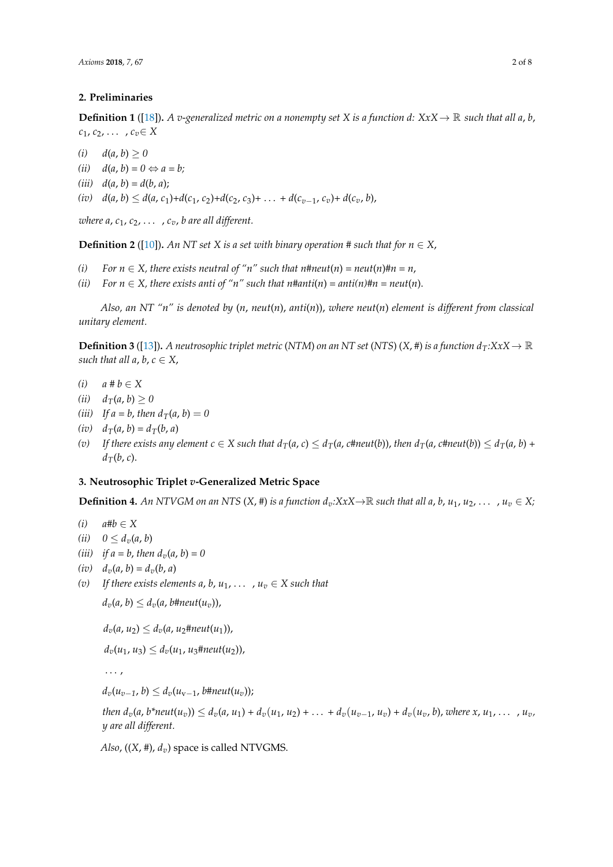### <span id="page-1-0"></span>**2. Preliminaries**

**Definition 1** ([\[18\]](#page-7-1)). *A v-generalized metric on a nonempty set X is a function d: XxX*  $\rightarrow \mathbb{R}$  *such that all a, b, c*<sub>1</sub>, *c*<sub>2</sub>, . . . , *c*<sub>*v*</sub>∈ *X* 

 $(i)$  *d*(*a*, *b*) > 0

 $(iii)$   $d(a, b) = 0 \Leftrightarrow a = b;$ 

 $(iii)$   $d(a, b) = d(b, a);$ 

(iv)  $d(a, b) \le d(a, c_1) + d(c_1, c_2) + d(c_2, c_3) + \ldots + d(c_{v-1}, c_v) + d(c_v, b),$ 

*where a,*  $c_1$ *,*  $c_2$ *, ...,*  $c_v$ *, b are all different.* 

**Definition 2** ([\[10\]](#page-6-7)). *An NT set X is a set with binary operation* # such that for  $n \in X$ ,

- *(i)*  $For n \in X$ , there exists neutral of "n" such that n#neut(n) = neut(n)#n = n,
- *(ii)* For  $n \in X$ , there exists anti of "n" such that n#anti(n) = anti(n)#n = neut(n).

*Also, an NT "n" is denoted by* (*n*, *neut*(*n*), *anti*(*n*)), *where neut*(*n*) *element is different from classical unitary element.*

**Definition 3** ([\[13\]](#page-7-6)). A neutrosophic triplet metric (NTM) on an NT set (NTS) (X, #) is a function  $d_T: X \times X \to \mathbb{R}$ *such that all a, b,*  $c \in X$ *,* 

- *(i) a # b* ∈ *X*
- *(ii)*  $d_T(a, b) \ge 0$
- *(iii) If a* = *b*, *then*  $d_T(a, b) = 0$
- $(i\bar{v})$   $d_{\tau}(a, b) = d_{\tau}(b, a)$
- (v) If there exists any element  $c \in X$  such that  $d_T(a, c) \leq d_T(a, c)$  then  $d_T(a, c)$  then  $d_T(a, c) \leq d_T(a, b)$  +  $d_T(b, c)$ .

## <span id="page-1-1"></span>**3. Neutrosophic Triplet** *v***-Generalized Metric Space**

**Definition 4.** An NTVGM on an NTS  $(X, \#)$  is a function  $d_v:X X \to \mathbb{R}$  such that all a, b,  $u_1, u_2, \ldots, u_v \in X$ ;

- *(i) a#b* ∈ *X*
- (*ii*)  $0 \leq d_v(a, b)$
- *(iii)*  $if a = b$ , *then*  $d_v(a, b) = 0$
- $(iv)$   $d_v(a, b) = d_v(b, a)$
- (*v*) If there exists elements a, b,  $u_1, \ldots, u_v \in X$  such that

 $d_v(a, b) \leq d_v(a, b)$ #neut $(u_v)$ ),

 $d_v(a, u_2) \leq d_v(a, u_2)$ #neut $(u_1)$ ),

 $d_v(u_1, u_3) \leq d_v(u_1, u_3) + \text{Reut}(u_2)$ 

. . . ,

 $d_v(u_{v-1}, b) \leq d_v(u_{v-1}, b)$ #neut $(u_v)$ );

then  $d_v(a, b^*neut(u_v)) \leq d_v(a, u_1) + d_v(u_1, u_2) + ... + d_v(u_{v-1}, u_v) + d_v(u_v, b)$ , where  $x, u_1, ..., u_v$ *y are all different.*

*Also*,  $((X, \#), d_v)$  space is called NTVGMS.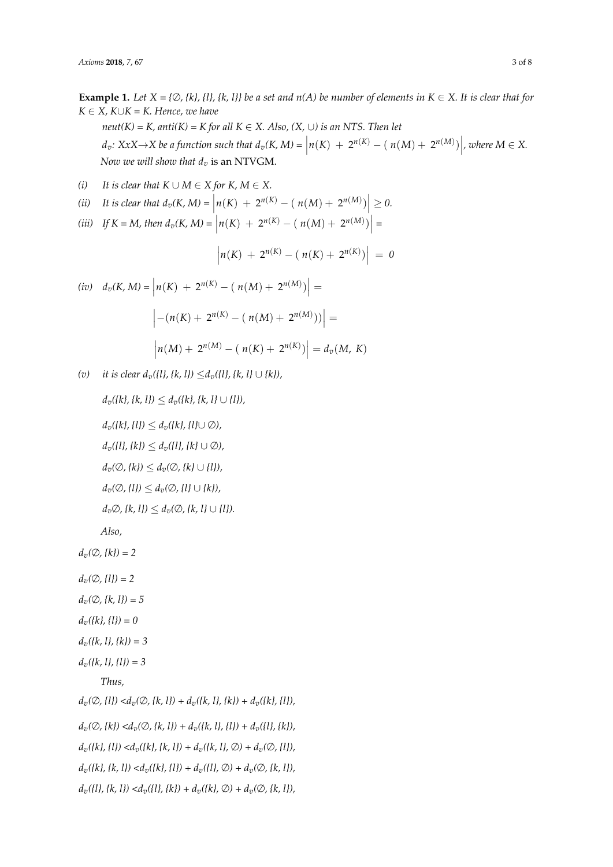**Example 1.** *Let*  $X = \{ \emptyset, \{k\}, \{l\}, \{k, l\} \}$  be a set and  $n(A)$  be number of elements in  $K \in X$ . It is clear that for  $K ∈ X$ *,*  $K ∪ K = K$ *. Hence, we have neut*(*K*) = *K*, anti(*K*) = *K* for all *K*  $\in$  *X*. *Also*, (*X*,  $\cup$ ) *is an NTS*. *Then let*  $d_v: XxX \to X$  be a function such that  $d_v(K, M) = \left| n(K) + 2^{n(K)} - (n(M) + 2^{n(M)}) \right|$ , where  $M \in X$ . *Now we will show that d<sup>v</sup>* is an NTVGM.

(i) It is clear that 
$$
K \cup M \in X
$$
 for  $K, M \in X$ .

(ii) It is clear that 
$$
d_v(K, M) = |n(K) + 2^{n(K)} - (n(M) + 2^{n(M)})| \ge 0
$$
.  
(iii) If  $K - M$  then  $d_v(K, M) - |n(K) + 2^{n(K)} - (n(M) + 2^{n(M)})| -$ 

(iii) If 
$$
K = M
$$
, then  $d_v(K, M) = |n(K) + 2^{n(K)} - (n(M) + 2^{n(M)})|$ 

$$
\left| n(K) + 2^{n(K)} - ( n(K) + 2^{n(K)}) \right| = 0
$$

$$
(iv) \quad d_v(K, M) = \left| n(K) + 2^{n(K)} - (n(M) + 2^{n(M)}) \right| =
$$

$$
\left| -(n(K) + 2^{n(K)} - (n(M) + 2^{n(M)})) \right| =
$$

$$
\left| n(M) + 2^{n(M)} - (n(K) + 2^{n(K)}) \right| = d_v(M, K)
$$

*(v) it is clear dv({l}, {k, l})* ≤*dv({l}, {k, l}* ∪ *{k}),*

$$
d_v(\{k\}, \{k, l\}) \le d_v(\{k\}, \{k, l\} \cup \{l\}),
$$
  
\n
$$
d_v(\{k\}, \{l\}) \le d_v(\{k\}, \{l\} \cup \emptyset),
$$
  
\n
$$
d_v(\{l\}, \{k\}) \le d_v(\{l\}, \{k\} \cup \emptyset),
$$
  
\n
$$
d_v(\emptyset, \{k\}) \le d_v(\emptyset, \{k\} \cup \{l\}),
$$
  
\n
$$
d_v(\emptyset, \{l\}) \le d_v(\emptyset, \{l\} \cup \{k\}),
$$
  
\n
$$
d_v\emptyset, \{k, l\}) \le d_v(\emptyset, \{k, l\} \cup \{l\}).
$$
  
\nAlso,

$$
d_v(\emptyset, \{k\}) = 2
$$

- $d_v(\emptyset, \{l\}) = 2$
- *dv(*∅*, {k, l}) = 5*
- *dv({k}, {l}) = 0*
- *dv({k, l}, {k}) = 3*
- *dv({k, l}, {l}) = 3*

*Thus,*

 $d_v(\emptyset, \{l\}) < d_v(\emptyset, \{k, l\}) + d_v(\{k, l\}, \{k\}) + d_v(\{k\}, \{l\}),$  $d_v(\emptyset, \{k\}) < d_v(\emptyset, \{k, l\}) + d_v(\{k, l\}, \{l\}) + d_v(\{l\}, \{k\}),$  $d_v({k}, {l}) < d_v({k}, {k}, {l}) + d_v({k}, {l}, \emptyset) + d_v(\emptyset, {l}),$  $d_v({k}, {k}, {l}) < d_v({k}, {l}) + d_v({l}, \emptyset) + d_v(\emptyset, {k}, {l}),$  $d_v({l}, {k, l}) < d_v({l}, {k}) + d_v({k}, \emptyset) + d_v(\emptyset, {k, l}),$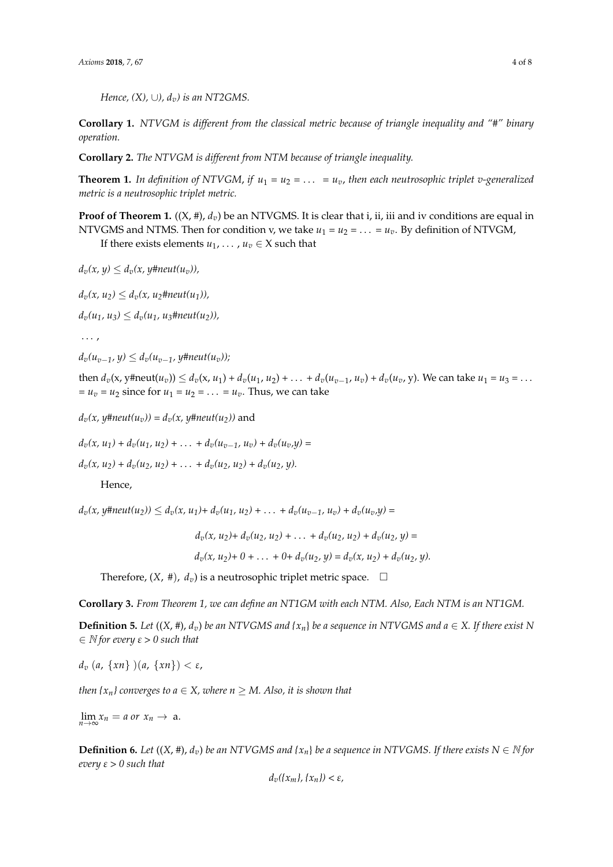*Hence,* (*X)*, ∪*)*,  $d<sub>v</sub>$ *) is an NT2GMS*.

**Corollary 1.** *NTVGM is different from the classical metric because of triangle inequality and "#" binary operation.*

**Corollary 2.** *The NTVGM is different from NTM because of triangle inequality.*

**Theorem 1.** In definition of NTVGM, if  $u_1 = u_2 = \ldots = u_v$ , then each neutrosophic triplet v-generalized *metric is a neutrosophic triplet metric.*

**Proof of Theorem 1.**  $((X, #), d_v)$  be an NTVGMS. It is clear that i, ii, iii and iv conditions are equal in NTVGMS and NTMS. Then for condition v, we take  $u_1 = u_2 = \ldots = u_v$ . By definition of NTVGM,

If there exists elements  $u_1, \ldots, u_v \in X$  such that

 $d_v(x, y) \leq d_v(x, y)$ #neut(u<sub>v</sub>)),

 $d_v(x, u_2) \leq d_v(x, u_2)$ **#neut**(u<sub>1</sub>)),

 $d_v(u_1, u_3) \leq d_v(u_1, u_3)$ <sup>#neut(u<sub>2</sub></sub>)),</sup>

. . . ,

 $d_v(u_{v-1}, y) \leq d_v(u_{v-1}, y) + n e u(t(u_v))$ ;

then  $d_v(x, y)$  +  $d_v(x, y)$  =  $d_v(x, u_1) + d_v(u_1, u_2) + \ldots + d_v(u_{n-1}, u_n) + d_v(u_v, y)$ . We can take  $u_1 = u_3 = \ldots$  $= u_v = u_2$  since for  $u_1 = u_2 = \ldots = u_v$ . Thus, we can take

 $d_v(x, y \text{#}math(u_v)) = d_v(x, y \text{#}math(u_2))$  and

 $d_v(x, u_1) + d_v(u_1, u_2) + \ldots + d_v(u_{v-1}, u_v) + d_v(u_v, y) =$ 

 $d_v(x, u_2) + d_v(u_2, u_2) + \ldots + d_v(u_2, u_2) + d_v(u_2, u_1)$ .

Hence,

 $d_v(x, y \# neut(u_2)) \le d_v(x, u_1) + d_v(u_1, u_2) + \ldots + d_v(u_{v-1}, u_v) + d_v(u_v, y) =$ 

 $d_v(x, u_2) + d_v(u_2, u_2) + \ldots + d_v(u_2, u_2) + d_v(u_2, u) =$  $d_v(x, u_2) + 0 + \ldots + 0 + d_v(u_2, y) = d_v(x, u_2) + d_v(u_2, y).$ 

Therefore,  $(X, #)$ ,  $d_v$ ) is a neutrosophic triplet metric space.  $\Box$ 

**Corollary 3.** *From Theorem 1, we can define an NT1GM with each NTM. Also, Each NTM is an NT1GM.*

**Definition 5.** *Let*  $((X, \#), d_v)$  *be an NTVGMS and*  $\{x_n\}$  *be a sequence in NTVGMS and*  $a \in X$ *. If there exist N* ∈ <sup>N</sup> *for every ε > 0 such that*

*d*<sub>*v*</sub> (*a*, {*xn*} )(*a*, {*xn*}) < ε,

*then*  $\{x_n\}$  converges to  $a \in X$ , where  $n \geq M$ . Also, it is shown that

 $\lim_{n\to\infty} x_n = a$  or  $x_n \to a$ .

**Definition 6.** *Let*  $((X, \#), d_v)$  *be an NTVGMS and*  $\{x_n\}$  *be a sequence in NTVGMS. If there exists N*  $\in$  *N for every ε > 0 such that*

$$
d_v(\{x_m\},\{x_n\}) < \varepsilon
$$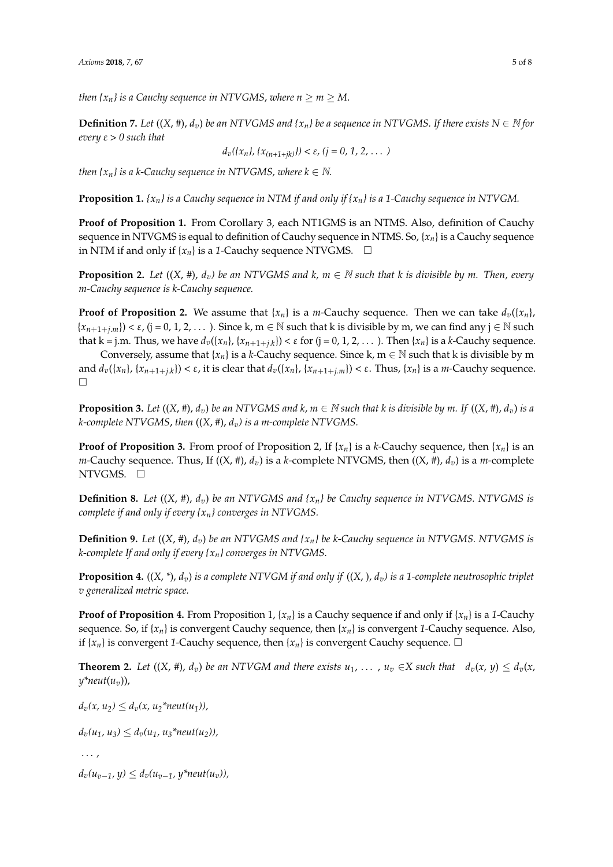*then*  $\{x_n\}$  *is a Cauchy sequence in NTVGMS, where*  $n \ge m \ge M$ .

**Definition 7.** *Let*  $((X, \#), d_v)$  *be an NTVGMS and*  $\{x_n\}$  *be a sequence in NTVGMS. If there exists*  $N \in \mathbb{N}$  *for every ε > 0 such that*

 $d_v({x_n}, {x_{n+1+ik}}) < \varepsilon$ , ( $j = 0, 1, 2, ...$ )

*then*  $\{x_n\}$  *is a k-Cauchy sequence in NTVGMS, where*  $k \in \mathbb{N}$ .

**Proposition 1.** *{xn} is a Cauchy sequence in NTM if and only if {xn} is a 1-Cauchy sequence in NTVGM.*

**Proof of Proposition 1.** From Corollary 3, each NT1GMS is an NTMS. Also, definition of Cauchy sequence in NTVGMS is equal to definition of Cauchy sequence in NTMS. So, {*xn*} is a Cauchy sequence in NTM if and only if  $\{x_n\}$  is a 1-Cauchy sequence NTVGMS.  $\Box$ 

**Proposition 2.** *Let*  $((X, \#), d_v)$  *be an NTVGMS and k, m*  $\in$  *N such that k is divisible by m. Then, every m-Cauchy sequence is k-Cauchy sequence.*

**Proof of Proposition 2.** We assume that  ${x_n}$  is a *m*-Cauchy sequence. Then we can take  $d_v({x_n})$ ,  ${x_{n+1+j,m}}$ ) <  $\varepsilon$ , (j = 0, 1, 2, . . . ). Since k, m  $\in \mathbb{N}$  such that k is divisible by m, we can find any j  $\in \mathbb{N}$  such that k = j.m. Thus, we have  $d_v({x_n}$ ,  ${x_{n+1+j,k}}$  < ε for (j = 0, 1, 2, . . . ). Then  ${x_n}$  is a *k*-Cauchy sequence.

Conversely, assume that  $\{x_n\}$  is a *k*-Cauchy sequence. Since k, m  $\in \mathbb{N}$  such that k is divisible by m and  $d_v(\{x_n\},\{x_{n+1+j,k}\})<\varepsilon$ , it is clear that  $d_v(\{x_n\},\{x_{n+1+j,m}\})<\varepsilon$ . Thus,  $\{x_n\}$  is a m-Cauchy sequence.  $\Box$ 

**Proposition 3.** Let  $((X, \#), d_v)$  be an NTVGMS and k,  $m \in \mathbb{N}$  such that k is divisible by m. If  $((X, \#), d_v)$  is a *k*-*complete NTVGMS*, *then* ((*X*, *#*), *dv) is a m-complete NTVGMS.*

**Proof of Proposition 3.** From proof of Proposition 2, If  $\{x_n\}$  is a *k*-Cauchy sequence, then  $\{x_n\}$  is an *m*-Cauchy sequence. Thus, If  $((X, #), d_v)$  is a *k*-complete NTVGMS, then  $((X, #), d_v)$  is a *m*-complete NTVGMS.  $\square$ 

**Definition 8.** *Let*  $((X, \#), d_v)$  *be an NTVGMS and*  $\{x_n\}$  *be Cauchy sequence in NTVGMS. NTVGMS is complete if and only if every {xn} converges in NTVGMS.*

**Definition 9.** *Let* ((*X*, *#*), *dv*) *be an NTVGMS and {xn} be k-Cauchy sequence in NTVGMS. NTVGMS is k-complete If and only if every {xn} converges in NTVGMS.*

**Proposition 4.** ((*X*, *\**), *dv*) *is a complete NTVGM if and only if* ((*X*, ), *dv) is a 1-complete neutrosophic triplet v generalized metric space.*

**Proof of Proposition 4.** From Proposition 1,  $\{x_n\}$  is a Cauchy sequence if and only if  $\{x_n\}$  is a 1-Cauchy sequence. So, if  $\{x_n\}$  is convergent Cauchy sequence, then  $\{x_n\}$  is convergent *1*-Cauchy sequence. Also, if  ${x_n}$  is convergent *1*-Cauchy sequence, then  ${x_n}$  is convergent Cauchy sequence.  $\Box$ 

**Theorem 2.** Let  $((X, \#), d_v)$  be an NTVGM and there exists  $u_1, \ldots, u_v \in X$  such that  $d_v(x, y) \leq d_v(x, y)$  $y^*$ *neut* $(u_v)$ ),

 $d_v(x, u_2) \leq d_v(x, u_2^* \text{ }^* \text{ }^* \text{ }^* \text{ }^* \text{ }^* \text{ }^* \text{ }^* \text{ }^* \text{ }^* \text{ }^* \text{ }^* \text{ }^* \text{ }^* \text{ }^* \text{ }^* \text{ }^* \text{ }^* \text{ }^* \text{ }^* \text{ }^* \text{ }^* \text{ }^* \text{ }^* \text{ }^* \text{ }^* \text{ }^* \text{ }^* \text{ }^* \text{ }^* \text{ }^* \text{ }^* \text{ }^* \text{ }^* \text$ 

 $d_v(u_1, u_3) \leq d_v(u_1, u_3^*$ neut $(u_2)$ ),

. . . ,

 $d_v(u_{v-1}, v) \leq d_v(u_{v-1}, v^*$ neut $(u_v)$ ),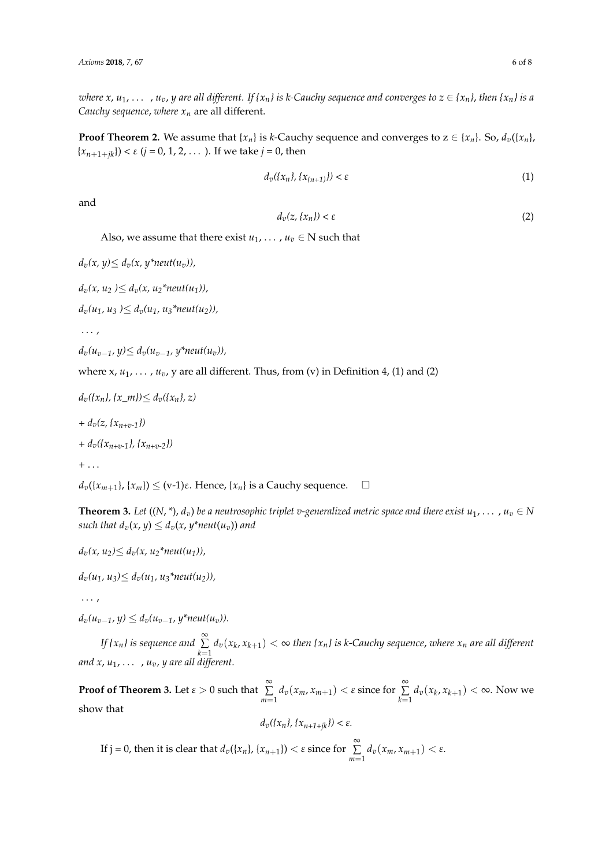*where x,*  $u_1$ , ...,  $u_v$ ,  $y$  are all different. If  $\{x_n\}$  is k-Cauchy sequence and converges to  $z \in \{x_n\}$ , then  $\{x_n\}$  is a *Cauchy sequence*, *where x<sup>n</sup>* are all different.

**Proof Theorem 2.** We assume that  $\{x_n\}$  is *k*-Cauchy sequence and converges to  $z \in \{x_n\}$ . So,  $d_v(\{x_n\})$  ${x_{n+1+ik}}$ ) <  $\varepsilon$  (*j* = 0, 1, 2, . . . ). If we take *j* = 0, then

$$
d_v(\{x_n\}, \{x_{(n+1)}\}) < \varepsilon \tag{1}
$$

and

$$
d_v(z, \{x_n\}) < \varepsilon \tag{2}
$$

Also, we assume that there exist  $u_1, \ldots, u_v \in N$  such that

```
d_v(x, y) \leq d_v(x, y^*neut(u_v)),
```
 $d_v(x, u_2) \leq d_v(x, u_2^* \text{ }^* \text{ }^* \text{ }^* \text{ }^* \text{ }^* \text{ }^* \text{ }^* \text{ }^* \text{ }^* \text{ }^* \text{ }^* \text{ }^* \text{ }^* \text{ }^* \text{ }^* \text{ }^* \text{ }^* \text{ }^* \text{ }^* \text{ }^* \text{ }^* \text{ }^* \text{ }^* \text{ }^* \text{ }^* \text{ }^* \text{ }^* \text{ }^* \text{ }^* \text{ }^* \text{ }^* \text{ }^* \text{ }^* \text$ 

 $d_v(u_1, u_3) \leq d_v(u_1, u_3^* \text{neut}(u_2))$ 

. . . ,

*dv(uv*−*1, y)*≤ *dv(uv*−*1, y\*neut(uv)),*

where  $x, u_1, \ldots, u_v$ ,  $y$  are all different. Thus, from (v) in Definition 4, (1) and (2)

```
d_v({x_n}, {x_m}) \ge d_v({x_n}, z)
```
 $+ d_v(z, \{x_{n+r-1}\})$ 

```
+ dv({xn+v-1}, {xn+v-2})
```
 $+ \ldots$ 

 $d_v({x_{m+1}}, {x_m}) \le (v-1)\varepsilon$ . Hence,  ${x_n}$  is a Cauchy sequence.  $\square$ 

**Theorem 3.** *Let*  $((N, *), d_v)$  *be a neutrosophic triplet v-generalized metric space and there exist*  $u_1, \ldots, u_v \in N$ *such that*  $d_v(x, y) \leq d_v(x, y^*neut(u_v))$  *and* 

```
d_v(x, u_2) \leq d_v(x, u_2^* \text{ }^* \text{ }^* \text{ }^* \text{ }^* \text{ }^* \text{ }^* \text{ }^* \text{ }^* \text{ }^* \text{ }^* \text{ }^* \text{ }^* \text{ }^* \text{ }^* \text{ }^* \text{ }^* \text{ }^* \text{ }^* \text{ }^* \text{ }^* \text{ }^* \text{ }^* \text{ }^* \text{ }^* \text{ }^* \text{ }^* \text{ }^* \text{ }^* \text{ }^* \text{ }^* \text{ }^* \text{ }^* \text{ }^* \text
```
 $d_v(u_1, u_3) \leq d_v(u_1, u_3^*$ neut $(u_2)$ ),

. . . ,

 $d_v(u_{v-1}, y) \leq d_v(u_{v-1}, y^*$ neut $(u_v)$ ).

*If {x<sub>n</sub>} is sequence and* ∑  $\sum_{k=1} d_v(x_k, x_{k+1}) < \infty$  then  $\{x_n\}$  is k-Cauchy sequence, where  $x_n$  are all different *and x*, *u*1, . . . , *uv, y are all different.*

**Proof of Theorem 3.** Let  $\varepsilon > 0$  such that  $\sum_{n=1}^{\infty}$  $\sum_{m=1}^{\infty} d_v(x_m, x_{m+1}) < \varepsilon$  since for  $\sum_{k=1}^{\infty}$  $\sum_{k=1} d_v(x_k, x_{k+1}) < \infty$ . Now we show that

$$
d_v(\{x_n\}, \{x_{n+1+jk}\}) < \varepsilon.
$$

If j = 0, then it is clear that  $d_v({x_n})$ ,  ${x_{n+1}}$ ) <  $\varepsilon$  since for  $\sum_{n=1}^{\infty}$  $\sum_{m=1}$   $d_v(x_m, x_{m+1}) < \varepsilon$ .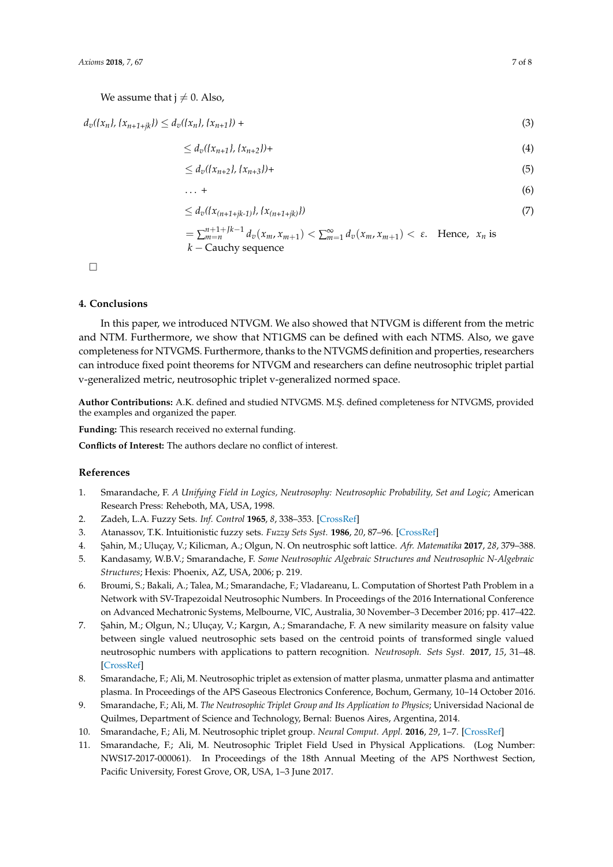We assume that  $j \neq 0$ . Also,

$$
d_v(\{x_n\}, \{x_{n+1+jk}\}) \le d_v(\{x_n\}, \{x_{n+1}\}) +
$$
\n(3)

$$
\leq d_v(\{x_{n+1}\}, \{x_{n+2}\}) +
$$
 (4)

$$
\leq d_v(\{x_{n+2}\}, \{x_{n+3}\}) +
$$
 (5)

$$
\ldots + \hspace{1.5cm} (6)
$$

$$
\leq d_v(\{x_{(n+1+jk-1)}\}, \{x_{(n+1+jk)}\})
$$
\n<sup>(7)</sup>

$$
= \sum_{m=n}^{n+1+Jk-1} d_v(x_m, x_{m+1}) < \sum_{m=1}^{\infty} d_v(x_m, x_{m+1}) < \varepsilon. \quad \text{Hence, } x_n \text{ is } k-\text{Cauchy sequence}
$$

 $\Box$ 

## <span id="page-6-9"></span>**4. Conclusions**

In this paper, we introduced NTVGM. We also showed that NTVGM is different from the metric and NTM. Furthermore, we show that NT1GMS can be defined with each NTMS. Also, we gave completeness for NTVGMS. Furthermore, thanks to the NTVGMS definition and properties, researchers can introduce fixed point theorems for NTVGM and researchers can define neutrosophic triplet partial v-generalized metric, neutrosophic triplet v-generalized normed space.

Author Contributions: A.K. defined and studied NTVGMS. M.Ş. defined completeness for NTVGMS, provided the examples and organized the paper.

**Funding:** This research received no external funding.

**Conflicts of Interest:** The authors declare no conflict of interest.

#### **References**

- <span id="page-6-0"></span>1. Smarandache, F. *A Unifying Field in Logics, Neutrosophy: Neutrosophic Probability, Set and Logic*; American Research Press: Reheboth, MA, USA, 1998.
- <span id="page-6-1"></span>2. Zadeh, L.A. Fuzzy Sets. *Inf. Control* **1965**, *8*, 338–353. [\[CrossRef\]](http://dx.doi.org/10.1016/S0019-9958(65)90241-X)
- <span id="page-6-2"></span>3. Atanassov, T.K. Intuitionistic fuzzy sets. *Fuzzy Sets Syst.* **1986**, *20*, 87–96. [\[CrossRef\]](http://dx.doi.org/10.1016/S0165-0114(86)80034-3)
- <span id="page-6-3"></span>4. ¸Sahin, M.; Uluçay, V.; Kilicman, A.; Olgun, N. On neutrosphic soft lattice. *Afr. Matematika* **2017**, *28*, 379–388.
- 5. Kandasamy, W.B.V.; Smarandache, F. *Some Neutrosophic Algebraic Structures and Neutrosophic N-Algebraic Structures*; Hexis: Phoenix, AZ, USA, 2006; p. 219.
- 6. Broumi, S.; Bakali, A.; Talea, M.; Smarandache, F.; Vladareanu, L. Computation of Shortest Path Problem in a Network with SV-Trapezoidal Neutrosophic Numbers. In Proceedings of the 2016 International Conference on Advanced Mechatronic Systems, Melbourne, VIC, Australia, 30 November–3 December 2016; pp. 417–422.
- <span id="page-6-4"></span>7. ¸Sahin, M.; Olgun, N.; Uluçay, V.; Kargın, A.; Smarandache, F. A new similarity measure on falsity value between single valued neutrosophic sets based on the centroid points of transformed single valued neutrosophic numbers with applications to pattern recognition. *Neutrosoph. Sets Syst.* **2017**, *15*, 31–48. [\[CrossRef\]](http://dx.doi.org/10.5281/zenodo570934)
- <span id="page-6-5"></span>8. Smarandache, F.; Ali, M. Neutrosophic triplet as extension of matter plasma, unmatter plasma and antimatter plasma. In Proceedings of the APS Gaseous Electronics Conference, Bochum, Germany, 10–14 October 2016.
- <span id="page-6-6"></span>9. Smarandache, F.; Ali, M. *The Neutrosophic Triplet Group and Its Application to Physics*; Universidad Nacional de Quilmes, Department of Science and Technology, Bernal: Buenos Aires, Argentina, 2014.
- <span id="page-6-7"></span>10. Smarandache, F.; Ali, M. Neutrosophic triplet group. *Neural Comput. Appl.* **2016**, *29*, 1–7. [\[CrossRef\]](http://dx.doi.org/10.1007/s00521-016-2535-x)
- <span id="page-6-8"></span>11. Smarandache, F.; Ali, M. Neutrosophic Triplet Field Used in Physical Applications. (Log Number: NWS17-2017-000061). In Proceedings of the 18th Annual Meeting of the APS Northwest Section, Pacific University, Forest Grove, OR, USA, 1–3 June 2017.